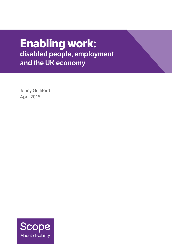# **Enabling work: disabled people, employment and the UK economy**

Jenny Gulliford April 2015

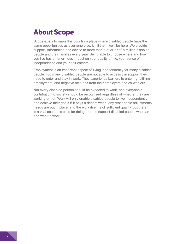## **About Scope**

Scope exists to make this country a place where disabled people have the same opportunities as everyone else. Until then, we'll be here. We provide support, information and advice to more than a quarter of a million disabled people and their families every year. Being able to choose where and how you live has an enormous impact on your quality of life, your sense of independence and your self-esteem.

Employment is an important aspect of living independently for many disabled people. Too many disabled people are not able to access the support they need to enter and stay in work. They experience barriers to entering fulfilling employment, and negative attitudes from their employers and co-workers.

Not every disabled person should be expected to work, and everyone's contribution to society should be recognised regardless of whether they are working or not. Work will only enable disabled people to live independently and achieve their goals if it pays a decent wage, any reasonable adjustments needs are put in place, and the work itself is of sufficient quality. But there is a vital economic case for doing more to support disabled people who can and want to work.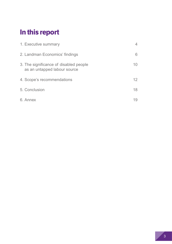## **In this report**

| 1. Executive summary                                                   |                 |
|------------------------------------------------------------------------|-----------------|
| 2. Landman Economics' findings                                         | 6               |
| 3. The significance of disabled people<br>as an untapped labour source | 10              |
| 4. Scope's recommendations                                             | 12 <sup>°</sup> |
| 5. Conclusion                                                          | 18              |
| 6. Annex                                                               |                 |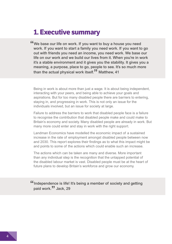## **1. Executive summary**

"We base our life on work. If you want to buy a house you need work. If you want to start a family you need work. If you want to go out with friends you need an income, you need work. We base our life on our work and we build our lives from it. When you're in work it's a stable environment and it gives you the stability. It gives you a meaning, a purpose, place to go, people to see. It's so much more than the actual physical work itself.<sup>77</sup> Matthew, 41

Being in work is about more than just a wage. It is about being independent, interacting with your peers, and being able to achieve your goals and aspirations. But for too many disabled people there are barriers to entering, staying in, and progressing in work. This is not only an issue for the individuals involved, but an issue for society at large.

Failure to address the barriers to work that disabled people face is a failure to recognise the contribution that disabled people make and could make to Britain's economy and society. Many disabled people are already in work. But many more could enter and stay in work with the right support.

Landman Economics have modelled the economic impact of a sustained increase in the rate of employment amongst disabled people between now and 2030. This report explores their findings as to what this impact might be and points to some of the actions which could enable such an increase.

The actions which can be taken are many and diverse. More important than any individual step is the recognition that the untapped potential of the disabled labour market is vast. Disabled people must be at the heart of future plans to develop Britain's workforce and grow our economy.

"Independence is life! It's being a member of society and getting paid work.<sup>33</sup> Jack, 29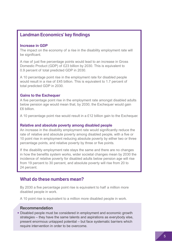## **Landman Economics' key findings**

#### **Increase in GDP**

The impact on the economy of a rise in the disability employment rate will be significant.

A rise of just five percentage points would lead to an increase in Gross Domestic Product (GDP) of £23 billion by 2030. This is equivalent to 0.9 percent of total predicted GDP in 2030.

A 10 percentage point rise in the employment rate for disabled people would result in a rise of £45 billion. This is equivalent to 1.7 percent of total predicted GDP in 2030.

#### **Gains to the Exchequer**

A five percentage point rise in the employment rate amongst disabled adults below pension age would mean that, by 2030, the Exchequer would gain £6 billion.

A 10 percentage point rise would result in a £12 billion gain to the Exchequer.

#### **Relative and absolute poverty among disabled people**

An increase in the disability employment rate would significantly reduce the rate of relative and absolute poverty among disabled people, with a five or 10 point rise in employment reducing absolute poverty by either two or three percentage points, and relative poverty by three or five points.

If the disability employment rate stays the same and there are no changes in how the benefits system works, wider societal changes mean by 2030 the incidence of relative poverty for disabled adults below pension age will rise from 19 percent to 30 percent, and absolute poverty will rise from 20 to 24 percent.

### **What do these numbers mean?**

By 2030 a five percentage point rise is equivalent to half a million more disabled people in work.

A 10 point rise is equivalent to a million more disabled people in work.

#### **Recommendation**

• Disabled people must be considered in employment and economic growth strategies – they have the same talents and aspirations as everybody else, present enormous untapped potential – but face systematic barriers which require intervention in order to be overcome.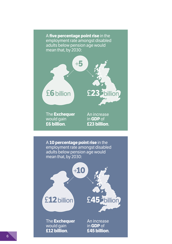A **five percentage point rise** in the employment rate amongst disabled adults below pension age would mean that, by 2030:



The **Exchequer**  would gain **£6 billion**.

An increase in **GDP** of **£23 billion**.

£**45** billion +**10** £**12**billion A **10 percentage point rise** in the employment rate amongst disabled adults below pension age would mean that, by 2030:

The **Exchequer** would gain **£12 billion**.

An increase in **GDP** of **£45 billion**.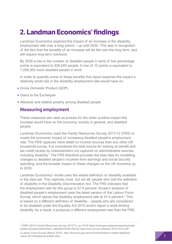## **2. Landman Economics' findings**

Landman Economics explored the impact of an increase in the disability employment rate over a long period – up until 2030. This was in recognition of the fact that the benefits of an increase will be felt over the long term, and will require long term solutions.

By 2030 a rise in the number of disabled people in work of five percentage points is equivalent to 526,000 people. A rise of 10 points is equivalent to 1,058,000 more disabled people in work.

In order to quantify some of these benefits this report explores the impact a relatively small rise in the disability employment rate would have on:

- Gross Domestic Product (GDP)
- Gains to the Exchequer
- Absolute and relative poverty among disabled people

### **Measuring employment**

These measures are used as proxies for the wider positive impact this increase would have on the economy, society in general, and disabled people.

Landman Economics used the Family Resources Survey 2011/12 (FRS) to model the economic impact of increasing disabled people's employment rate. The FRS captures more detail on income sources than any other UK household survey. It is considered the best source for looking at benefit and tax credit receipt by characteristics not captured on administrative sources, including disability.1 The FRS therefore provides the best data for modelling changes to disabled people's incomes from earnings and social security spending, and the broader impact of these changes on the UK economy up to 2030.

Landman Economics' model uses the widest definition of disability available in the data set. This captures most, but not all, people who met the definition of disability in the Disability Discrimination Act. The FRS indicates that the employment rate for this group is 57.4 percent. Scope's analysis of disabled people's employment uses the latest version of the Labour Force Survey, which places the disability employment rate at 47.4 percent.<sup>2</sup> This is based on a different definition of disability – people who are considered to be disabled under the Equality Act 2010 and/or report a work-limiting disability. As a result, it produces a different employment rate than the FRS.

1 DWP (2014) Family Resources Survey 2012/13, pp.19-20 [https://www.gov.uk/government/uploads/](https://www.gov.uk/government/uploads/system/uploads/attachment_data/file/325491/family-resources-survey-statistics-2012-2013.pdf) [system/uploads/attachment\\_data/file/325491/family-resources-survey-statistics-2012-2013.pdf](https://www.gov.uk/government/uploads/system/uploads/attachment_data/file/325491/family-resources-survey-statistics-2012-2013.pdf) 2 Labour Force Survey (March 2015), [http://www.ons.gov.uk/ons/rel/lms/labour-market-statistics/](http://www.ons.gov.uk/ons/rel/lms/labour-market-statistics/march-2015/statistical-bulletin.html) [march-2015/statistical-bulletin.html](http://www.ons.gov.uk/ons/rel/lms/labour-market-statistics/march-2015/statistical-bulletin.html)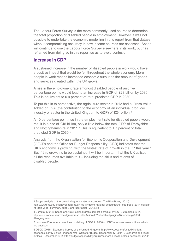The Labour Force Survey is the more commonly used source to determine the total proportion of disabled people in employment. However, it was not possible to undertake the economic modelling in this report from that dataset without compromising accuracy in how income sources are assessed. Scope will continue to use the Labour Force Survey elsewhere in its work, but has refrained from doing so in this report so as to avoid confusion.

#### **Increase in GDP**

A sustained increase in the number of disabled people in work would have a positive impact that would be felt throughout the whole economy. More people in work means increased economic output as the amount of goods and services created within the UK grows.

A rise in the employment rate amongst disabled people of just five percentage points would lead to an increase in GDP of £23 billion by 2030. This is equivalent to 0.9 percent of total predicted GDP in 2030.

To put this in to perspective, the agriculture sector in 2012 had a Gross Value Added or GVA (the contribution to the economy of an individual producer, industry or sector in the United Kingdom to GDP) of £24 billion.3

A 10 percentage point rise in the employment rate for disabled people would result in a rise of £45 billion, only a little below the total GDP of Derbyshire and Nottinghamshire in 2011.<sup>4</sup> This is equivalent to 1.7 percent of total predicted GDP in 2030.5

Analysis from the Organisation for Economic Cooperation and Development (OECD) and the Office for Budget Responsibility (OBR) indicates that the UK's economy is growing, with the fastest rate of growth in the G7 this year.<sup>6</sup> But if this growth is to be sustained it will be important that the UK utilises all the resources available to it – including the skills and talents of disabled people.

<sup>3</sup> Scope analysis of the United Kingdom National Accounts, The Blue Book, (2014).

[http://www.ons.gov.uk/ons/rel/naa1-rd/united-kingdom-national-accounts/the-blue-book--2014-edition/](http://www.ons.gov.uk/ons/rel/naa1-rd/united-kingdom-national-accounts/the-blue-book--2014-edition/rft-table-2-1d--summary-supply-and-use-tables--2012.xls) [rft-table-2-1d--summary-supply-and-use-tables--2012.xls](http://www.ons.gov.uk/ons/rel/naa1-rd/united-kingdom-national-accounts/the-blue-book--2014-edition/rft-table-2-1d--summary-supply-and-use-tables--2012.xls)

<sup>4</sup> Eurostat (2014): Scope analysis Regional gross domestic product by NUTS 2 regions 2014. [http://ec.europa.eu/eurostat/tgm/refreshTableAction.do?tab=table&plugin=1&pcode=tgs00003](http://ec.europa.eu/eurostat/tgm/refreshTableAction.do?tab=table&plugin=1&pcode=tgs00003 &language=en) [&language=en](http://ec.europa.eu/eurostat/tgm/refreshTableAction.do?tab=table&plugin=1&pcode=tgs00003 &language=en)

<sup>5</sup> Landman Economics base their modelling of GDP in 2030 on OBR economic assumptions, which are cautious.

<sup>6</sup> OECD (2015): Economic Survey of the United Kingdom. [http://www.oecd.org/unitedkingdom/](http://www.oecd.org/unitedkingdom/economic-survey-united-kingdom.htm) [economic-survey-united-kingdom.htm](http://www.oecd.org/unitedkingdom/economic-survey-united-kingdom.htm) ; Office for Budget Responsibility (2014) . Economic and fiscal outlook – December 2014 <http://budgetresponsibility.org.uk/economic-fiscal-outlook-december-2014/>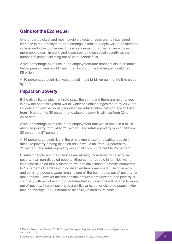## **Gains for the Exchequer**

One of the quickest and most tangible effects of even a small sustained increase in the employment rate amongst disabled people will be an increase in revenue to the Exchequer. This is as a result of higher tax receipts as more people earn in work, and lower spending on social security, as the number of people claiming out of work benefit falls.

A five percentage point rise in the employment rate amongst disabled adults below pension age would mean that, by 2030, the Exchequer would gain £6 billion.

A 10 percentage point rise would result in a £12 billion gain to the Exchequer by 2030.

### **Impact on poverty**

If the disability employment rate stays the same and there are no changes in how the benefits system works, wider societal changes mean by 2030 the incidence of relative poverty for disabled adults below pension age will rise from 19 percent to 30 percent, and absolute poverty will rise from 20 to 24 percent.

A five percentage point rise in the employment rate would result in a fall in absolute poverty from 24 to 21 percent, and relative poverty would fall from 30 percent to 27 percent.

A 10 percentage point rise in the employment rate for disabled people in absolute poverty among disabled adults would fall from 24 percent to 21 percent, and relative poverty would fall from 30 percent to 25 percent.

Disabled people and their families are already more likely to be living in poverty than non-disabled people. 19 percent of people in families with at least one disabled family member live in relative income poverty, compared to 15 percent of families with no disabled family members.7 Being in work and earning a decent wage remains one of the best routes out of poverty for most people. However the relationship between employment and poverty is complex, with work being no guarantee that an individual will be able to move out of poverty. In-work poverty is a particular issue for disabled people, who face on average £550 a month of disability related extra costs.<sup>8</sup>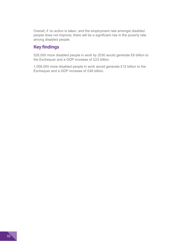Overall, if no action is taken, and the employment rate amongst disabled people does not improve, there will be a significant rise in the poverty rate among disabled people.

## **Key findings**

526,000 more disabled people in work by 2030 would generate £6 billion to the Exchequer and a GDP increase of £23 billion.

1,058,000 more disabled people in work would generate £12 billion to the Exchequer and a GDP increase of £46 billion.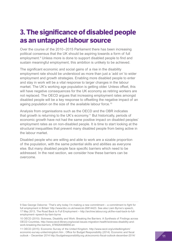## **3. The significance of disabled people as an untapped labour source**

Over the course of the 2010–2015 Parliament there has been increasing political consensus that the UK should be aspiring towards a form of full employment.<sup>9</sup> Unless more is done to support disabled people to find and sustain meaningful employment, this ambition is unlikely to be achieved.

The significant economic and social gains of a rise in the disability employment rate should be understood as more than just a 'add on' to wider employment and growth strategies. Enabling more disabled people to enter and stay in work will be a vital response to larger changes in the labour market. The UK's working age population is getting older. Unless offset, this will have negative consequences for the UK economy as retiring workers are not replaced. The OECD argues that increasing employment rates amongst disabled people will be a key response to offsetting the negative impact of an ageing population on the size of the available labour force.<sup>10</sup>

Analysis from organisations such as the OECD and the OBR indicates that growth is returning to the UK's economy.11 But historically, periods of economic growth have not had the same positive impact on disabled peoples' employment rates as on non-disabled people. It is time to start looking at the structural inequalities that prevent many disabled people from being active in the labour market.

Disabled people who are willing and able to work are a sizable proportion of the population, with the same potential skills and abilities as everyone else. But many disabled people face specific barriers which need to be addressed. In the next section, we consider how these barriers can be overcome.

<sup>9</sup> See George Osborne: 'That's why today I'm making a new commitment – a commitment to fight for full employment in Britain' [http://www.bbc.co.uk/news/uk-26814423.](http://www.bbc.co.uk/news/uk-26814423) See also Liam Byrne's speech, 17 May 2013, The Road Back to Full Employment – [http://archive.labour.org.uk/the-road-back-to-full](http://archive.labour.org.uk/the-road-back-to-full-employment--speech-by-liam-byrne)[employment--speech-by-liam-byrne](http://archive.labour.org.uk/the-road-back-to-full-employment--speech-by-liam-byrne)

<sup>10</sup> OECD (2010): Sickness, Disability and Work: Breaking the Barriers: A Synthesis of Findings across OECD Countries, [http://www.oecd-ilibrary.org/social-issues-migration-health/sickness-disability-and](http://www.oecd-ilibrary.org/social-issues-migration-health/sickness-disability-and-work-breaking-the-barriers_9789264088856-en)[work-breaking-the-barriers\\_9789264088856-en](http://www.oecd-ilibrary.org/social-issues-migration-health/sickness-disability-and-work-breaking-the-barriers_9789264088856-en)

<sup>11</sup> OECD (2015): Economic Survey of the United Kingdom. [http://www.oecd.org/unitedkingdom/](http://www.oecd.org/unitedkingdom/economic-survey-united-kingdom.htm) [economic-survey-united-kingdom.htm](http://www.oecd.org/unitedkingdom/economic-survey-united-kingdom.htm) ; Office for Budget Responsibility (2014): Economic and fiscal outlook – December 2014<http://budgetresponsibility.org.uk/economic-fiscal-outlook-december-2014/>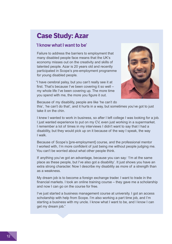## **Case Study: Azar**

### **'I know what I want to be'**

Failure to address the barriers to employment that many disabled people face means that the UK's economy misses out on the creativity and skills of talented people. Azar is 20 years old and recently participated in Scope's pre-employment programme for young disabled people.

"I have cerebral palsy, but you can't really see it at first. That's because I've been covering it so well – my whole life I've been covering up. The more time you spend with me, the more you figure it out.



Because of my disability, people are like 'he can't do this', 'he can't do that', and it hurts in a way, but sometimes you've got to just take it on the chin.

I knew I wanted to work in business, so after I left college I was looking for a job. I just wanted experience to put on my CV, even just working in a supermarket. I remember a lot of times in my interviews I didn't want to say that I had a disability, but they would pick up on it because of the way I speak, the way I walk.

Because of Scope's [pre-employment] course, and the professional mentor I worked with, I'm more confident of just being me without people judging me. You can't be worried about what other people think.

If anything you've got an advantage, because you can say: 'I'm at the same place as these people, but I've also got a disability'. It just shows you have an extra strong character. Now I describe my disability as more of a strength than as a weakness.

My dream job is to become a foreign exchange trader. I want to trade in the financial markets. I took an online training course – they gave me a scholarship and now I can go on the course for free.

I've just started a business management course at university. I got an access scholarship with help from Scope. I'm also working a part time job, and I'm starting a business with my uncle. I know what I want to be, and I know I can get my dream job."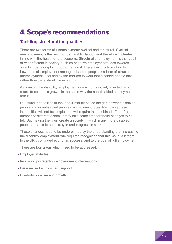## **4. Scope's recommendations**

## **Tackling structural inequalities**

There are two forms of unemployment: cyclical and structural. Cyclical unemployment is the result of demand for labour, and therefore fluctuates in line with the health of the economy. Structural unemployment is the result of wider factors in society, such as negative employer attitudes towards a certain demographic group or regional differences in job availability. Low rates of employment amongst disabled people is a form of structural unemployment – caused by the barriers to work that disabled people face rather than the state of the economy.

As a result, the disability employment rate is not positively affected by a return to economic growth in the same way the non-disabled employment rate is.

Structural inequalities in the labour market cause the gap between disabled people and non-disabled people's employment rates. Removing these inequalities will not be simple, and will require the combined effort of a number of different actors. It may take some time for these changes to be felt. But making them will create a society in which many more disabled people are able to enter, stay in and progress in work.

These changes need to be underpinned by the understanding that increasing the disability employment rate requires recognition that this issue is integral to the UK's continued economic success, and to the goal of full employment.

There are four areas which need to be addressed:

- Employer attitudes
- Improving job retention – government interventions
- Personalised employment support
- Disability, localism and growth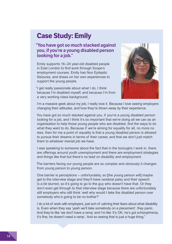## **Case Study: Emily**

### **"You have got so much stacked against you, if you're a young disabled person looking for a job."**

Emily supports 16–24 year-old disabled people in East London to find work through Scope's employment courses. Emily has Non Epileptic Seizures, and draws on her own experiences to support the young people.

"I get really passionate about what I do, I think because I'm disabled myself, and because I'm from a very working class background.



I'm a massive geek about my job, I really love it. Because I love seeing employers changing their attitudes, and how they're blown away by their experience.

You have got so much stacked against you, if you're a young disabled person looking for a job, and I think it's so important that we're doing all we can as an organisation to help those young people who are disabled, find the ways to do what they want to do. Because if we're aiming for equality for all, no more no less, then for me a point of equality is that a young disabled person is allowed to pursue their dreams in terms of their career, and that we don't just match them to whatever menial job we have.

I was speaking to someone about the fact that in the boroughs I work in, there are offerings around youth unemployment and there are employment strategies and things like that but there's no lead on disability and employment.

The barriers facing our young people are so complex and obviously it changes from young person to young person.

One barrier is perceptions – unfortunately, so [the young person will] maybe get to the interview stage and they'll have cerebral palsy and their speech is a bit slurred, so it's going to go to the guy who doesn't have that. Or they don't even get through to that interview stage because there are unfortunately still employers who still think 'well why would I take the disabled person over somebody who's going to be no bother?'

I do a lot of work with employers, just sort of calming their fears about what disability is. Even when they say 'yeah we'll take somebody on a placement', they panic. And they're like 'we don't have a ramp' and I'm like 'it's OK, he's got schizophrenia, it's fine, he doesn't need a ramp'. And so seeing that is just a huge thing."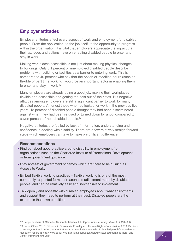### **Employer attitudes**

Employer attitudes affect every aspect of work and employment for disabled people. From the application, to the job itself, to the opportunity to progress within the organisation, it is vital that employers appreciate the impact that their attitudes and actions have on enabling disabled people to enter and stay in work.

Making workplaces accessible is not just about making physical changes to buildings. Only 3.1 percent of unemployed disabled people describe problems with building or facilities as a barrier to entering work. This is compared to 40 percent who say that the option of modified hours (such as flexible or part time working) would be an important factor in enabling them to enter and stay in work.<sup>12</sup>

Many employers are already doing a good job, making their workplaces flexible and accessible and getting the best out of their staff. But negative attitudes among employers are still a significant barrier to work for many disabled people. Amongst those who had looked for work in the previous five years, 15 percent of disabled people thought they had been discriminated against when they had been refused or turned down for a job, compared to seven percent of non-disabled people.<sup>13</sup>

Negative attitudes are fuelled by lack of information, understanding and confidence in dealing with disability. There are a few relatively straightforward steps which employers can take to make a significant difference:

#### **Recommendations**

- Find out about good practice around disability in employment from organisations such as the Chartered Institute of Professional Development, or from government guidance.
- Stay abreast of government schemes which are there to help, such as Access to Work.
- Embed flexible working practices – flexible working is one of the most commonly requested forms of reasonable adjustment made by disabled people, and can be relatively easy and inexpensive to implement.
- Talk openly and honestly with disabled employees about what adjustments and support they need to perform at their best. Disabled people are the experts in their own condition.

<sup>12</sup> Scope analysis of Office for National Statistics, Life Opportunities Survey: Wave 2, 2010-2012 13 Home Office, 2010, Citizenship Survey, via Equality and Human Rights Commission, 2013, Barriers to employment and unfair treatment at work: a quantitative analysis of disabled people's experiences, Research report 88 [http://www.equalityhumanrights.com/sites/default/files/documents/barriers\\_and\\_](http://www.equalityhumanrights.com/sites/default/files/documents/barriers_and_unfair_treatment_final.pdf) [unfair\\_treatment\\_final.pdf](http://www.equalityhumanrights.com/sites/default/files/documents/barriers_and_unfair_treatment_final.pdf)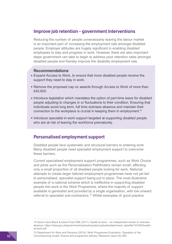### **Improve job retention – government interventions**

Reducing the number of people unnecessarily leaving the labour market is an important part of increasing the employment rate amongst disabled people. Employer attitudes are hugely significant in enabling disabled employees to stay and progress in work. However, there are also important steps government can take to begin to address poor retention rates amongst disabled people and thereby improve the disability employment rate.

#### **Recommendations**

- Expand Access to Work, to ensure that more disabled people receive the support they need to stay in work.
- Remove the proposed cap on awards through Access to Work of more than £40,800.
- Introduce legislation which mandates the option of part-time leave for disabled people adjusting to changes in or fluctuations to their condition. Ensuring that individuals avoid long term, full time sickness absence and maintain their connection to the workplace is crucial in keeping them in employment.14
- Introduce specialist in-work support targeted at supporting disabled people who are at risk of leaving the workforce prematurely.

### **Personalised employment support**

Disabled people face systematic and structural barriers to entering work. Many disabled people need specialist employment support to overcome these barriers.

Current specialised employment support programmes, such as Work Choice and pilots such as the Personalisation Pathfinders remain small, affecting only a small proportion of all disabled people looking for work. National attempts to create larger tailored employment programmes have not yet led to personalised, specialist support being put in place. The most illustrative example of a national scheme which is ineffective in supporting disabled people into work is the Work Programme, where the majority of support available is generalist and provided by a single organisation, with low onward referral to specialist sub-contractors.<sup>15</sup> Whilst examples of good practice

<sup>14</sup> Dame Carol Black & David Frost CBE (2011): Health at work – an independent review of sickness absence. [https://www.gov.uk/government/uploads/system/uploads/attachment\\_data/file/181060/health](https://www.gov.uk/government/uploads/system/uploads/attachment_data/file/181060/health-at-work.pdf)[at-work.pdf](https://www.gov.uk/government/uploads/system/uploads/attachment_data/file/181060/health-at-work.pdf)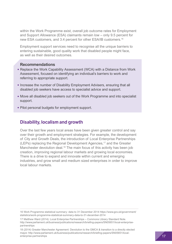within the Work Programme exist, overall job outcome rates for Employment and Support Allowance (ESA) claimants remain low – only 9.5 percent for new ESA customers, and 3.4 percent for other ESA/IB customers.16

Employment support services need to recognise all the unique barriers to entering sustainable, good quality work that disabled people might face, as well as their desired outcomes.

### **Recommendations**

- Replace the Work Capability Assessment (WCA) with a Distance from Work Assessment, focused on identifying an individual's barriers to work and referring to appropriate support.
- Increase the number of Disability Employment Advisers, ensuring that all disabled job seekers have access to specialist advice and support.
- Move all disabled job seekers out of the Work Programme and into specialist support.
- Pilot personal budgets for employment support.

### **Disability, localism and growth**

Over the last few years local areas have been given greater control and say over their growth and employment strategies. For example, the development of City and Growth Deals, the introduction of Local Enterprise Partnerships (LEPs) replacing the Regional Development Agencies,<sup>17</sup> and the Greater Manchester devolution deal.<sup>18</sup> The main focus of this activity has been job creation, improving regional labour markets and growing local economies. There is a drive to expand and innovate within current and emerging industries, and grow small and medium sized enterprises in order to improve local labour markets.

<sup>16</sup> Work Programme statistical summary: data to 31 December 2014 [https://www.gov.uk/government/](https://www.gov.uk/government/statistics/work-programme-statistical-summary-data-to-31-december-2014) [statistics/work-programme-statistical-summary-data-to-31-december-2014](https://www.gov.uk/government/statistics/work-programme-statistical-summary-data-to-31-december-2014)

<sup>17</sup> Matthew Ward (2014): Local Enterprise Partnerships – Commons Library Standard Note. [http://www.parliament.uk/business/publications/research/briefing-papers/SN05651/local-enterprise](http://www.parliament.uk/business/publications/research/briefing-papers/SN05651/local-enterprise-partnerships)[partnerships](http://www.parliament.uk/business/publications/research/briefing-papers/SN05651/local-enterprise-partnerships)

<sup>18 (2014)</sup> Greater Manchester Agreement: Devolution to the GMCA & transition to a directly elected mayor. [http://www.parliament.uk/business/publications/research/briefing-papers/SN05651/local](http://www.parliament.uk/business/publications/research/briefing-papers/SN05651/local-enterprise-partnerships)[enterprise-partnerships](http://www.parliament.uk/business/publications/research/briefing-papers/SN05651/local-enterprise-partnerships)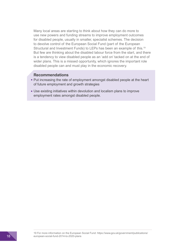Many local areas are starting to think about how they can do more to use new powers and funding streams to improve employment outcomes for disabled people, usually in smaller, specialist schemes. The decision to devolve control of the European Social Fund (part of the European Structural and Investment Funds) to LEPs has been an example of this.19 But few are thinking about the disabled labour force from the start, and there is a tendency to view disabled people as an 'add on' tacked on at the end of wider plans. This is a missed opportunity, which ignores the important role disabled people can and must play in the economic recovery.

#### **Recommendations**

- Put increasing the rate of employment amongst disabled people at the heart of future employment and growth strategies
- Use existing initiatives within devolution and localism plans to improve employment rates amongst disabled people.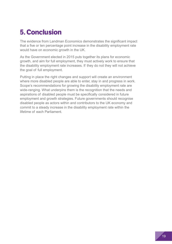## **5. Conclusion**

The evidence from Landman Economics demonstrates the significant impact that a five or ten percentage point increase in the disability employment rate would have on economic growth in the UK.

As the Government elected in 2015 puts together its plans for economic growth, and aim for full employment, they must actively work to ensure that the disability employment rate increases. If they do not they will not achieve the goal of full employment.

Putting in place the right changes and support will create an environment where more disabled people are able to enter, stay in and progress in work. Scope's recommendations for growing the disability employment rate are wide-ranging. What underpins them is the recognition that the needs and aspirations of disabled people must be specifically considered in future employment and growth strategies. Future governments should recognise disabled people as actors within and contributors to the UK economy and commit to a steady increase in the disability employment rate within the lifetime of each Parliament.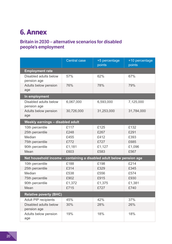## **6. Annex**

## **Britain in 2030 – alternative scenarios for disabled people's employment**

|                                                                      | <b>Central case</b> | +5 percentage<br>points | +10 percentage<br>points |
|----------------------------------------------------------------------|---------------------|-------------------------|--------------------------|
| <b>Employment rate</b>                                               |                     |                         |                          |
| Disabled adults below<br>pension age                                 | 57%                 | 62%                     | 67%                      |
| Adults below pension<br>age                                          | 76%                 | 78%                     | 79%                      |
| In employment                                                        |                     |                         |                          |
| Disabled adults below<br>pension age                                 | 6,067,000           | 6,593,000               | 7,125,000                |
| Adults below pension<br>age                                          | 30,726,000          | 31,253,000              | 31,784,000               |
| Weekly earnings - disabled adult                                     |                     |                         |                          |
| 10th percentile                                                      | £117                | £125                    | £132                     |
| 25th percentile                                                      | £248                | £267                    | £291                     |
| Median                                                               | £455                | £412                    | £393                     |
| 75th percentile                                                      | £772                | £727                    | £685                     |
| 90th percentile                                                      | £1,181              | £1,127                  | £1,096                   |
| Mean                                                                 | £603                | £583                    | £567                     |
| Net household income - containing a disabled adult below pension age |                     |                         |                          |
| 10th percentile                                                      | £188                | £198                    | £214                     |
| 25th percentile                                                      | £314                | £329                    | £345                     |
| Median                                                               | £538                | £556                    | £574                     |
| 75th percentile                                                      | £902                | £915                    | £930                     |
| 90th percentile                                                      | £1,372              | £1,375                  | £1,381                   |
| Mean                                                                 | £715                | £727                    | £740                     |
| <b>Relative poverty (BHC)</b>                                        |                     |                         |                          |
| <b>Adult PIP recipients</b>                                          | 45%                 | 42%                     | 37%                      |
| Disabled adults below<br>pension age                                 | 30%                 | 28%                     | 26%                      |
| Adults below pension<br>age                                          | 19%                 | 18%                     | 18%                      |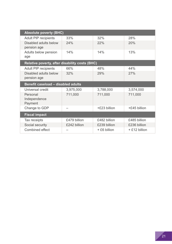| <b>Absolute poverty (BHC)</b>                  |              |              |              |  |
|------------------------------------------------|--------------|--------------|--------------|--|
| <b>Adult PIP recipients</b>                    | 33%          | 32%          | 28%          |  |
| Disabled adults below<br>pension age           | 24%          | 22%          | 20%          |  |
| Adults below pension<br>age                    | 14%          | 14%          | 13%          |  |
| Relative poverty, after disability costs (BHC) |              |              |              |  |
| <b>Adult PIP recipients</b>                    | 66%          | 48%          | 44%          |  |
| Disabled adults below<br>pension age           | 32%          | 29%          | 27%          |  |
|                                                |              |              |              |  |
|                                                |              |              |              |  |
| <b>Benefit caseload - disabled adults</b>      |              |              |              |  |
| Universal credit                               | 3,975,000    | 3,788,000    | 3,574,000    |  |
| Personal                                       | 711,000      | 711,000      | 711,000      |  |
| Independence                                   |              |              |              |  |
| Payment                                        |              |              |              |  |
| Change to GDP                                  |              | +£23 billion | +£45 billion |  |
| <b>Fiscal impact</b>                           |              |              |              |  |
| Tax receipts                                   | £479 billion | £482 billion | £485 billion |  |
| Social security                                | £242 billion | £239 billion | £236 billion |  |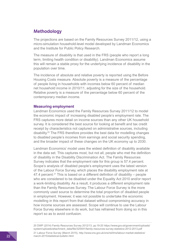## **Methodology**

The projections are based on the Family Resources Survey 2011/12, using a micro-simulation household-level model developed by Landman Economics and the Institute for Public Policy Research.

The measure of disability is that used in the FRS (people who report a long term, limiting health condition or disability). Landman Economics assume this will remain a stable proxy for the underlying incidence of disability in the population over time.

The incidence of absolute and relative poverty is reported using the Before Housing Costs measure. Absolute poverty is a measure of the percentage of people living in households with incomes below 60 percent of median net household income in 2010/11, adjusting for the size of the household. Relative poverty is a measure of the percentage below 60 percent of the contemporary median income.

#### **Measuring employment**

Landman Economics used the Family Resources Survey 2011/12 to model the economic impact of increasing disabled people's employment rate. The FRS captures more detail on income sources than any other UK household survey. It is considered the best source for looking at benefit and tax credit receipt by characteristics not captured on administrative sources, including disability.20 The FRS therefore provides the best data for modelling changes to disabled people's incomes from earnings and social security spending, and the broader impact of these changes on the UK economy up to 2030.

Landman Economics' model uses the widest definition of disability available in the data set. This captures most, but not all, people who met the definition of disability in the Disability Discrimination Act. The Family Resources Survey indicates that the employment rate for this group is 57.4 percent. Scope's analysis of disabled people's employment uses the latest version of the Labour Force Survey, which places the disability employment rate at 47.4 percent.<sup>21</sup> This is based on a different definition of disability – people who are considered to be disabled under the Equality Act 2010 and/or report a work-limiting disability. As a result, it produces a different employment rate than the Family Resources Survey. The Labour Force Survey is the more commonly used source to determine the total proportion of disabled people in employment. However, it was not possible to undertake the economic modelling in this report from that dataset without compromising accuracy in how income sources are assessed. Scope will continue to use the Labour Force Survey elsewhere in its work, but has refrained from doing so in this report so as to avoid confusion.

20 DWP (2014) Family Resources Survey 2012/13, pp.19-20 [https://www.gov.uk/government/uploads/](https://www.gov.uk/government/uploads/system/uploads/attachment_data/file/325491/family-resources-survey-statistics-2012-2013.pdf) [system/uploads/attachment\\_data/file/325491/family-resources-survey-statistics-2012-2013.pdf](https://www.gov.uk/government/uploads/system/uploads/attachment_data/file/325491/family-resources-survey-statistics-2012-2013.pdf)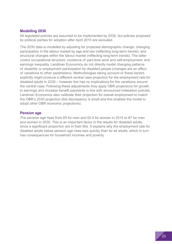### **Modelling 2030**

All legislated policies are assumed to be implemented by 2030, but policies proposed by political parties for adoption after April 2015 are excluded.

The 2030 data is modelled by adjusting for projected demographic change; changing participation in the labour market by age and sex (reflecting long-term trends); and structural changes within the labour market (reflecting long-term trends). The latter covers occupational structure; incidence of part-time work and self-employment; and earnings inequality. Landman Economics do not directly model changing patterns of disability or employment participation by disabled people (changes are an effect of variations to other parameters). Methodologies taking account of these factors explicitly might produce a different central case projection for the employment rate for disabled adults in 2030 – however this has no implications for the variations around the central case. Following these adjustments they apply OBR projections for growth in earnings and increase benefit payments in line with announced indexation policies. Landman Economics also calibrate their projection for overall employment to match the OBR's 2030 projection (the discrepancy is small and this enables the model to adopt other OBR economic projections).

#### **Pension age**

The pension age rises from 65 for men and 62.5 for women in 2015 to 67 for men and women in 2030. This is an important factor in the results for disabled adults, since a significant proportion are in their 60s. It explains why the employment rate for disabled adults below pension age rises less quickly than for all adults, which in turn has consequences for household incomes and poverty.